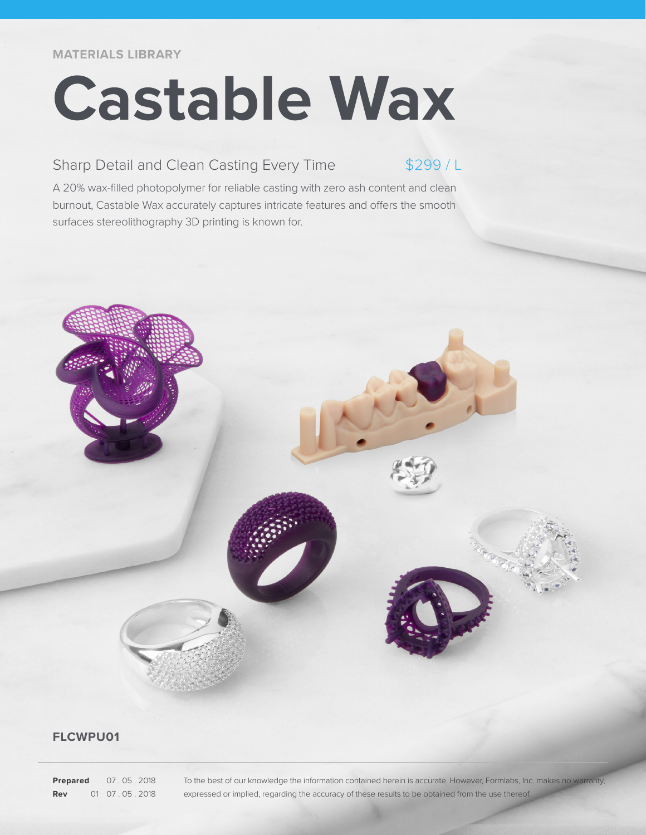**MATERIALS LIBRARY**

# **Castable Wax**

## Sharp Detail and Clean Casting Every Time

 $$299/1$ 

A 20% wax-filled photopolymer for reliable casting with zero ash content and clean burnout, Castable Wax accurately captures intricate features and offers the smooth surfaces stereolithography 3D printing is known for.

### **FLCWPU01**

**Prepared** 07 . 05 . 2018 **Rev** 01 07 . 05 . 2018 To the best of our knowledge the information contained herein is accurate. However, Formlabs, Inc. makes no warranty, expressed or implied, regarding the accuracy of these results to be obtained from the use thereof.